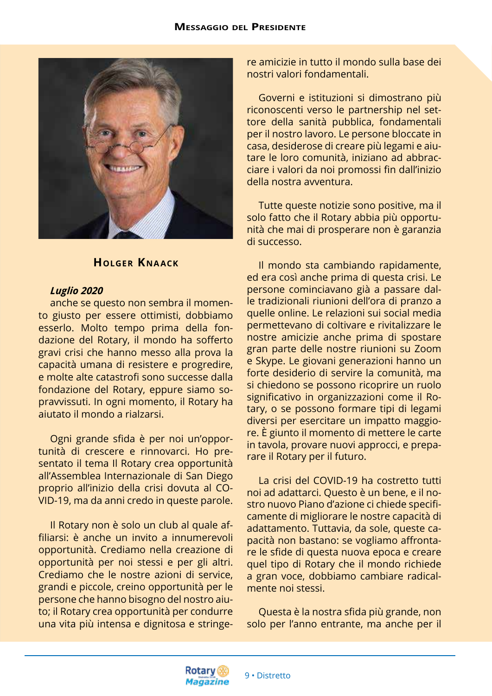

## **Holger Kna ack**

## *Luglio 2020*

anche se questo non sembra il momento giusto per essere ottimisti, dobbiamo esserlo. Molto tempo prima della fondazione del Rotary, il mondo ha sofferto gravi crisi che hanno messo alla prova la capacità umana di resistere e progredire, e molte alte catastrofi sono successe dalla fondazione del Rotary, eppure siamo sopravvissuti. In ogni momento, il Rotary ha aiutato il mondo a rialzarsi.

Ogni grande sfida è per noi un'opportunità di crescere e rinnovarci. Ho presentato il tema Il Rotary crea opportunità all'Assemblea Internazionale di San Diego proprio all'inizio della crisi dovuta al CO-VID-19, ma da anni credo in queste parole.

Il Rotary non è solo un club al quale affiliarsi: è anche un invito a innumerevoli opportunità. Crediamo nella creazione di opportunità per noi stessi e per gli altri. Crediamo che le nostre azioni di service, grandi e piccole, creino opportunità per le persone che hanno bisogno del nostro aiuto; il Rotary crea opportunità per condurre una vita più intensa e dignitosa e stringere amicizie in tutto il mondo sulla base dei nostri valori fondamentali.

Governi e istituzioni si dimostrano più riconoscenti verso le partnership nel settore della sanità pubblica, fondamentali per il nostro lavoro. Le persone bloccate in casa, desiderose di creare più legami e aiutare le loro comunità, iniziano ad abbracciare i valori da noi promossi fin dall'inizio della nostra avventura.

Tutte queste notizie sono positive, ma il solo fatto che il Rotary abbia più opportunità che mai di prosperare non è garanzia di successo.

Il mondo sta cambiando rapidamente, ed era così anche prima di questa crisi. Le persone cominciavano già a passare dalle tradizionali riunioni dell'ora di pranzo a quelle online. Le relazioni sui social media permettevano di coltivare e rivitalizzare le nostre amicizie anche prima di spostare gran parte delle nostre riunioni su Zoom e Skype. Le giovani generazioni hanno un forte desiderio di servire la comunità, ma si chiedono se possono ricoprire un ruolo significativo in organizzazioni come il Rotary, o se possono formare tipi di legami diversi per esercitare un impatto maggiore. È giunto il momento di mettere le carte in tavola, provare nuovi approcci, e preparare il Rotary per il futuro.

La crisi del COVID-19 ha costretto tutti noi ad adattarci. Questo è un bene, e il nostro nuovo Piano d'azione ci chiede specificamente di migliorare le nostre capacità di adattamento. Tuttavia, da sole, queste capacità non bastano: se vogliamo affrontare le sfide di questa nuova epoca e creare quel tipo di Rotary che il mondo richiede a gran voce, dobbiamo cambiare radicalmente noi stessi.

Questa è la nostra sfida più grande, non solo per l'anno entrante, ma anche per il

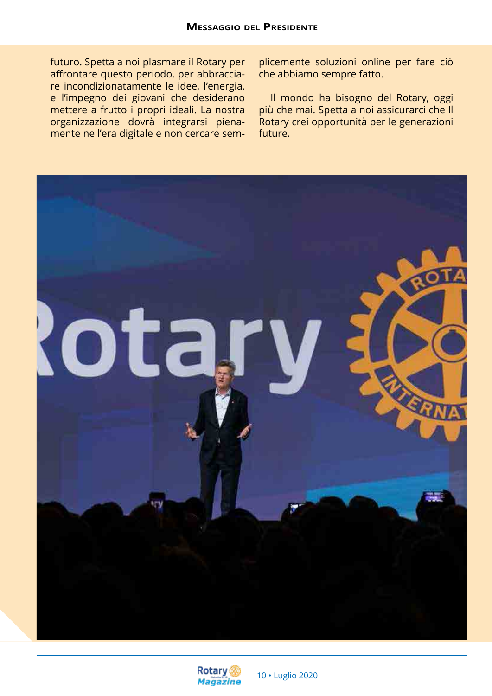futuro. Spetta a noi plasmare il Rotary per affrontare questo periodo, per abbracciare incondizionatamente le idee, l'energia, e l'impegno dei giovani che desiderano mettere a frutto i propri ideali. La nostra organizzazione dovrà integrarsi pienamente nell'era digitale e non cercare sem-

plicemente soluzioni online per fare ciò che abbiamo sempre fatto.

Il mondo ha bisogno del Rotary, oggi più che mai. Spetta a noi assicurarci che Il Rotary crei opportunità per le generazioni future.



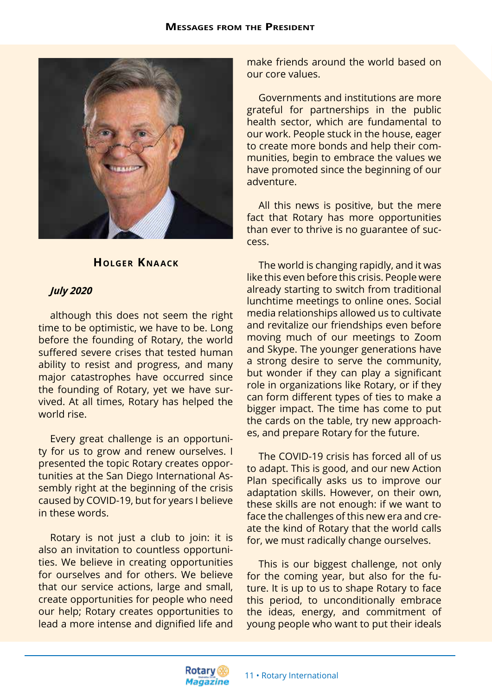

## **HOLGER KNAACK**

## *July 2020*

although this does not seem the right time to be optimistic, we have to be. Long before the founding of Rotary, the world suffered severe crises that tested human ability to resist and progress, and many major catastrophes have occurred since the founding of Rotary, yet we have survived. At all times, Rotary has helped the world rise.

Every great challenge is an opportunity for us to grow and renew ourselves. I presented the topic Rotary creates opportunities at the San Diego International Assembly right at the beginning of the crisis caused by COVID-19, but for years I believe in these words.

Rotary is not just a club to join: it is also an invitation to countless opportunities. We believe in creating opportunities for ourselves and for others. We believe that our service actions, large and small, create opportunities for people who need our help; Rotary creates opportunities to lead a more intense and dignified life and

make friends around the world based on our core values.

Governments and institutions are more grateful for partnerships in the public health sector, which are fundamental to our work. People stuck in the house, eager to create more bonds and help their communities, begin to embrace the values we have promoted since the beginning of our adventure.

All this news is positive, but the mere fact that Rotary has more opportunities than ever to thrive is no guarantee of success.

The world is changing rapidly, and it was like this even before this crisis. People were already starting to switch from traditional lunchtime meetings to online ones. Social media relationships allowed us to cultivate and revitalize our friendships even before moving much of our meetings to Zoom and Skype. The younger generations have a strong desire to serve the community, but wonder if they can play a significant role in organizations like Rotary, or if they can form different types of ties to make a bigger impact. The time has come to put the cards on the table, try new approaches, and prepare Rotary for the future.

The COVID-19 crisis has forced all of us to adapt. This is good, and our new Action Plan specifically asks us to improve our adaptation skills. However, on their own, these skills are not enough: if we want to face the challenges of this new era and create the kind of Rotary that the world calls for, we must radically change ourselves.

This is our biggest challenge, not only for the coming year, but also for the future. It is up to us to shape Rotary to face this period, to unconditionally embrace the ideas, energy, and commitment of young people who want to put their ideals